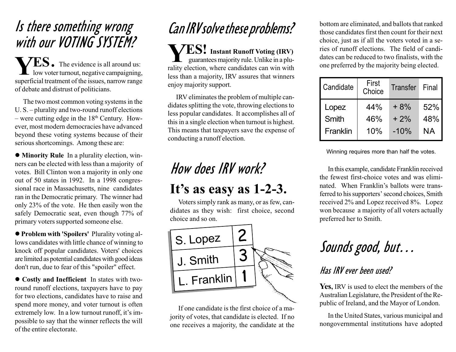## Is there something wrong with our VOTING SYSTEM?

 $\mathbf{ES}_{\bullet}$  The evidence is all around us: **L** low voter turnout, negative campaigning, superficial treatment of the issues, narrow range of debate and distrust of politicians. Y

The two most common voting systems in the  $U.S.$  – plurality and two-round runoff elections  $-$  were cutting edge in the  $18<sup>th</sup>$  Century. However, most modern democracies have advanced beyond these voting systems because of their serious shortcomings. Among these are:

• Minority Rule In a plurality election, winners can be elected with less than a majority of votes. Bill Clinton won a majority in only one out of 50 states in 1992. In a 1998 congressional race in Massachusetts, nine candidates ran in the Democratic primary. The winner had only 23% of the vote. He then easily won the safely Democratic seat, even though 77% of primary voters supported someone else.

**• Problem with 'Spoilers' Plurality voting al**lows candidates with little chance of winning to knock off popular candidates. Voters' choices are limited as potential candidates with good ideas don't run, due to fear of this "spoiler" effect.

 $\bullet$  Costly and Inefficient In states with tworound runoff elections, taxpayers have to pay for two elections, candidates have to raise and spend more money, and voter turnout is often extremely low. In a low turnout runoff, it's impossible to say that the winner reflects the will of the entire electorate.

## Can IRV solve these problems?

**YES!** Instant Runoff Voting (IRV)<br>guarantees majority rule. Unlike in a pluguarantees majority rule. Unlike in a plurality election, where candidates can win with less than a majority, IRV assures that winners enjoy majority support.

IRV eliminates the problem of multiple candidates splitting the vote, throwing elections to less popular candidates. It accomplishes all of this in a single election when turnout is highest. This means that taxpayers save the expense of conducting a runoff election.

## How does IRV work? It's as easy as  $1-2-3$ .

Voters simply rank as many, or as few, candidates as they wish: first choice, second choice and so on.



If one candidate is the first choice of a majority of votes, that candidate is elected. If no one receives a majority, the candidate at the

bottom are eliminated, and ballots that ranked those candidates first then count for their next choice, just as if all the voters voted in a series of runoff elections. The field of candidates can be reduced to two finalists, with the one preferred by the majority being elected.

| Candidate | First<br>Choice | <b>Transfer</b> | Final |
|-----------|-----------------|-----------------|-------|
| Lopez     | 44%             | $+8%$           | 52%   |
| Smith     | 46%             | $+2%$           | 48%   |
| Franklin  | 10%             | $-10%$          | ΝA    |

Winning requires more than half the votes.

In this example, candidate Franklin received the fewest first-choice votes and was eliminated. When Franklin's ballots were transferred to his supporters' second choices, Smith received 2% and Lopez received 8%. Lopez won because a majority of all voters actually preferred her to Smith.

## Sounds good, but

#### Has IRV ever been used?

Yes, IRV is used to elect the members of the Australian Legislature, the President of the Republic of Ireland, and the Mayor of London.

In the United States, various municipal and nongovernmental institutions have adopted